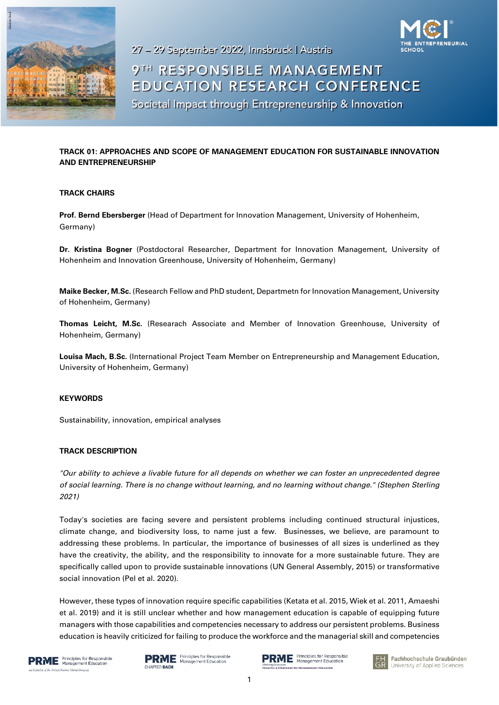

**NEURIAL** 

27 - 29 September 2022, Innsbruck | Austria

# 9TH RESPONSIBLE MANAGEMENT **EDUCATION RESEARCH CONFERENCE**

Societal Impact through Entrepreneurship & Innovation

## **TRACK 01: APPROACHES AND SCOPE OF MANAGEMENT EDUCATION FOR SUSTAINABLE INNOVATION AND ENTREPRENEURSHIP**

## **TRACK CHAIRS**

**Prof. Bernd Ebersberger** (Head of Department for Innovation Management, University of Hohenheim, Germany)

**Dr. Kristina Bogner** (Postdoctoral Researcher, Department for Innovation Management, University of Hohenheim and Innovation Greenhouse, University of Hohenheim, Germany)

**Maike Becker, M.Sc.** (Research Fellow and PhD student, Departmetn for Innovation Management, University of Hohenheim, Germany)

**Thomas Leicht, M.Sc.** (Researach Associate and Member of Innovation Greenhouse, University of Hohenheim, Germany)

**Louisa Mach, B.Sc.** (International Project Team Member on Entrepreneurship and Management Education, University of Hohenheim, Germany)

### **KEYWORDS**

Sustainability, innovation, empirical analyses

#### **TRACK DESCRIPTION**

*"Our ability to achieve a livable future for all depends on whether we can foster an unprecedented degree of social learning. There is no change without learning, and no learning without change." (Stephen Sterling 2021)* 

Today's societies are facing severe and persistent problems including continued structural injustices, climate change, and biodiversity loss, to name just a few. Businesses, we believe, are paramount to addressing these problems. In particular, the importance of businesses of all sizes is underlined as they have the creativity, the ability, and the responsibility to innovate for a more sustainable future. They are specifically called upon to provide sustainable innovations (UN General Assembly, 2015) or transformative social innovation (Pel et al. 2020).

However, these types of innovation require specific capabilities (Ketata et al. 2015, Wiek et al. 2011, Amaeshi et al. 2019) and it is still unclear whether and how management education is capable of equipping future managers with those capabilities and competencies necessary to address our persistent problems. Business education is heavily criticized for failing to produce the workforce and the managerial skill and competencies





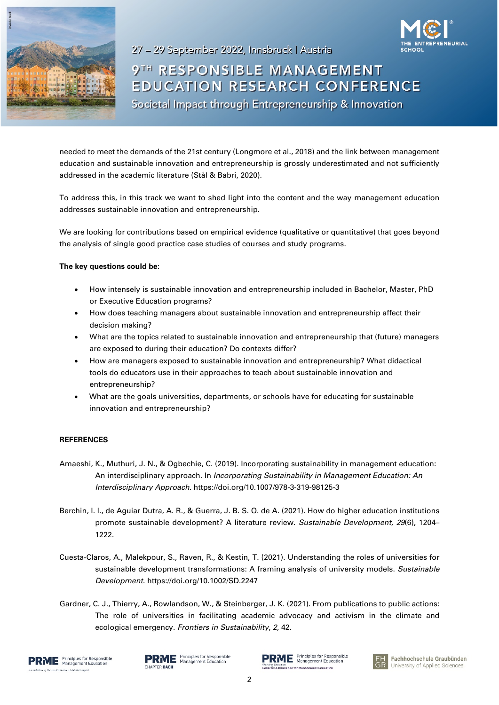

27 - 29 September 2022, Innsbruck | Austria 9TH RESPONSIBLE MANAGEMENT **EDUCATION RESEARCH CONFERENCE** Societal Impact through Entrepreneurship & Innovation

needed to meet the demands of the 21st century (Longmore et al., 2018) and the link between management education and sustainable innovation and entrepreneurship is grossly underestimated and not sufficiently addressed in the academic literature (Stål & Babri, 2020).

To address this, in this track we want to shed light into the content and the way management education addresses sustainable innovation and entrepreneurship.

We are looking for contributions based on empirical evidence (qualitative or quantitative) that goes beyond the analysis of single good practice case studies of courses and study programs.

#### **The key questions could be:**

- How intensely is sustainable innovation and entrepreneurship included in Bachelor, Master, PhD or Executive Education programs?
- How does teaching managers about sustainable innovation and entrepreneurship affect their decision making?
- What are the topics related to sustainable innovation and entrepreneurship that (future) managers are exposed to during their education? Do contexts differ?
- How are managers exposed to sustainable innovation and entrepreneurship? What didactical tools do educators use in their approaches to teach about sustainable innovation and entrepreneurship?
- What are the goals universities, departments, or schools have for educating for sustainable innovation and entrepreneurship?

#### **REFERENCES**

- Amaeshi, K., Muthuri, J. N., & Ogbechie, C. (2019). Incorporating sustainability in management education: An interdisciplinary approach. In *Incorporating Sustainability in Management Education: An Interdisciplinary Approach*. https://doi.org/10.1007/978-3-319-98125-3
- Berchin, I. I., de Aguiar Dutra, A. R., & Guerra, J. B. S. O. de A. (2021). How do higher education institutions promote sustainable development? A literature review. *Sustainable Development*, *29*(6), 1204– 1222.
- Cuesta-Claros, A., Malekpour, S., Raven, R., & Kestin, T. (2021). Understanding the roles of universities for sustainable development transformations: A framing analysis of university models. *Sustainable Development*. https://doi.org/10.1002/SD.2247
- Gardner, C. J., Thierry, A., Rowlandson, W., & Steinberger, J. K. (2021). From publications to public actions: The role of universities in facilitating academic advocacy and activism in the climate and ecological emergency. *Frontiers in Sustainability*, *2*, 42.



**RME** Principles for Responsible CHAPTER DACH